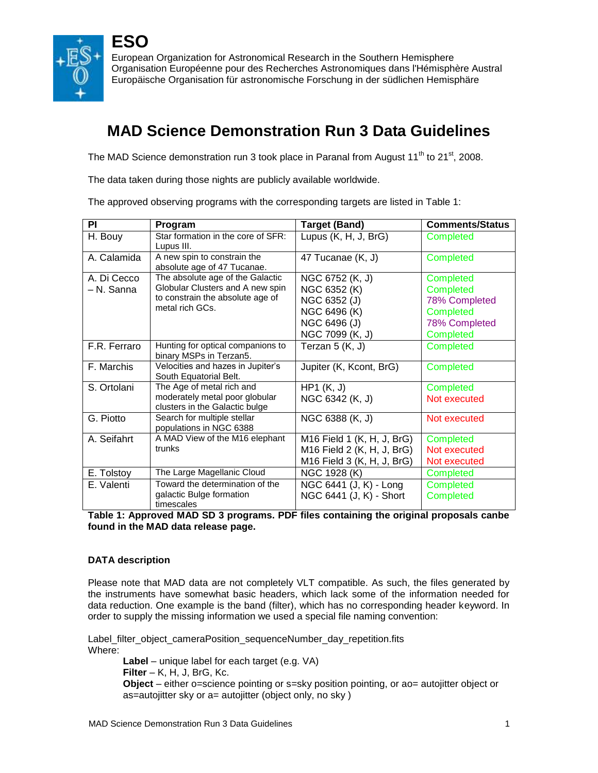

**ESO**

European Organization for Astronomical Research in the Southern Hemisphere Organisation Européenne pour des Recherches Astronomiques dans l'Hémisphère Austral Europäische Organisation für astronomische Forschung in der südlichen Hemisphäre

# **MAD Science Demonstration Run 3 Data Guidelines**

The MAD Science demonstration run 3 took place in Paranal from August  $11<sup>th</sup>$  to  $21<sup>st</sup>$ , 2008.

The data taken during those nights are publicly available worldwide.

The approved observing programs with the corresponding targets are listed in Table 1:

| PI           | Program                                                          | <b>Target (Band)</b>       | <b>Comments/Status</b> |
|--------------|------------------------------------------------------------------|----------------------------|------------------------|
| H. Bouy      | Star formation in the core of SFR:<br>Lupus III.                 | Lupus (K, H, J, BrG)       | Completed              |
| A. Calamida  | A new spin to constrain the<br>absolute age of 47 Tucanae.       | 47 Tucanae (K, J)          | Completed              |
| A. Di Cecco  | The absolute age of the Galactic                                 | NGC 6752 (K, J)            | Completed              |
| - N. Sanna   | Globular Clusters and A new spin                                 | NGC 6352 (K)               | Completed              |
|              | to constrain the absolute age of                                 | NGC 6352 (J)               | 78% Completed          |
|              | metal rich GCs.                                                  | NGC 6496 (K)               | Completed              |
|              |                                                                  | NGC 6496 (J)               | 78% Completed          |
|              |                                                                  | NGC 7099 (K, J)            | Completed              |
| F.R. Ferraro | Hunting for optical companions to<br>binary MSPs in Terzan5.     | Terzan $5(K, J)$           | Completed              |
| F. Marchis   | Velocities and hazes in Jupiter's<br>South Equatorial Belt.      | Jupiter (K, Kcont, BrG)    | Completed              |
| S. Ortolani  | The Age of metal rich and                                        | HP1(K, J)                  | Completed              |
|              | moderately metal poor globular<br>clusters in the Galactic bulge | NGC 6342 (K, J)            | Not executed           |
| G. Piotto    | Search for multiple stellar<br>populations in NGC 6388           | NGC 6388 (K, J)            | Not executed           |
| A. Seifahrt  | A MAD View of the M16 elephant                                   | M16 Field 1 (K, H, J, BrG) | Completed              |
|              | trunks                                                           | M16 Field 2 (K, H, J, BrG) | Not executed           |
|              |                                                                  | M16 Field 3 (K, H, J, BrG) | Not executed           |
| E. Tolstoy   | The Large Magellanic Cloud                                       | NGC 1928 (K)               | Completed              |
| E. Valenti   | Toward the determination of the                                  | NGC 6441 (J, K) - Long     | Completed              |
|              | galactic Bulge formation<br>timescales                           | NGC 6441 (J, K) - Short    | Completed              |

#### **Table 1: Approved MAD SD 3 programs. PDF files containing the original proposals canbe found in the MAD data release page.**

## **DATA description**

Please note that MAD data are not completely VLT compatible. As such, the files generated by the instruments have somewhat basic headers, which lack some of the information needed for data reduction. One example is the band (filter), which has no corresponding header keyword. In order to supply the missing information we used a special file naming convention:

Label\_filter\_object\_cameraPosition\_sequenceNumber\_day\_repetition.fits Where:

**Label** – unique label for each target (e.g. VA) **Filter** – K, H, J, BrG, Kc. **Object** – either o=science pointing or s=sky position pointing, or ao= autojitter object or as=autojitter sky or a= autojitter (object only, no sky )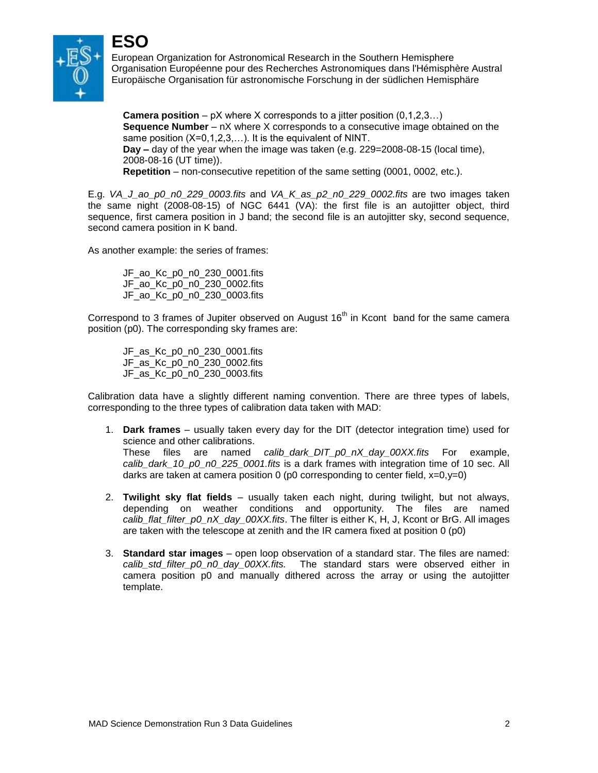

**ESO**

European Organization for Astronomical Research in the Southern Hemisphere Organisation Européenne pour des Recherches Astronomiques dans l'Hémisphère Austral Europäische Organisation für astronomische Forschung in der südlichen Hemisphäre

**Camera position** – pX where X corresponds to a jitter position (0,1,2,3…) **Sequence Number** – nX where X corresponds to a consecutive image obtained on the same position (X=0,1,2,3,...). It is the equivalent of NINT. **Day –** day of the year when the image was taken (e.g. 229=2008-08-15 (local time), 2008-08-16 (UT time)). **Repetition** – non-consecutive repetition of the same setting (0001, 0002, etc.).

E.g. *VA\_J\_ao\_p0\_n0\_229\_0003.fits* and *VA\_K\_as\_p2\_n0\_229\_0002.fits* are two images taken the same night (2008-08-15) of NGC 6441 (VA): the first file is an autojitter object, third sequence, first camera position in J band; the second file is an autojitter sky, second sequence, second camera position in K band.

As another example: the series of frames:

JF\_ao\_Kc\_p0\_n0\_230\_0001.fits JF\_ao\_Kc\_p0\_n0\_230\_0002.fits JF\_ao\_Kc\_p0\_n0\_230\_0003.fits

Correspond to 3 frames of Jupiter observed on August  $16<sup>th</sup>$  in Kcont band for the same camera position (p0). The corresponding sky frames are:

JF\_as\_Kc\_p0\_n0\_230\_0001.fits JF\_as\_Kc\_p0\_n0\_230\_0002.fits JF\_as\_Kc\_p0\_n0\_230\_0003.fits

Calibration data have a slightly different naming convention. There are three types of labels, corresponding to the three types of calibration data taken with MAD:

- 1. **Dark frames** usually taken every day for the DIT (detector integration time) used for science and other calibrations. These files are named *calib\_dark\_DIT\_p0\_nX\_day\_00XX.fits* For example, *calib\_dark\_10\_p0\_n0\_225\_0001.fits* is a dark frames with integration time of 10 sec. All darks are taken at camera position 0 (p0 corresponding to center field,  $x=0, y=0$ )
- 2. **Twilight sky flat fields** usually taken each night, during twilight, but not always, depending on weather conditions and opportunity. The files are named *calib\_flat\_filter\_p0\_nX\_day\_00XX.fits*. The filter is either K, H, J, Kcont or BrG. All images are taken with the telescope at zenith and the IR camera fixed at position 0 (p0)
- 3. **Standard star images**  open loop observation of a standard star. The files are named: *calib\_std\_filter\_p0\_n0\_day\_00XX.fits.* The standard stars were observed either in camera position p0 and manually dithered across the array or using the autojitter template.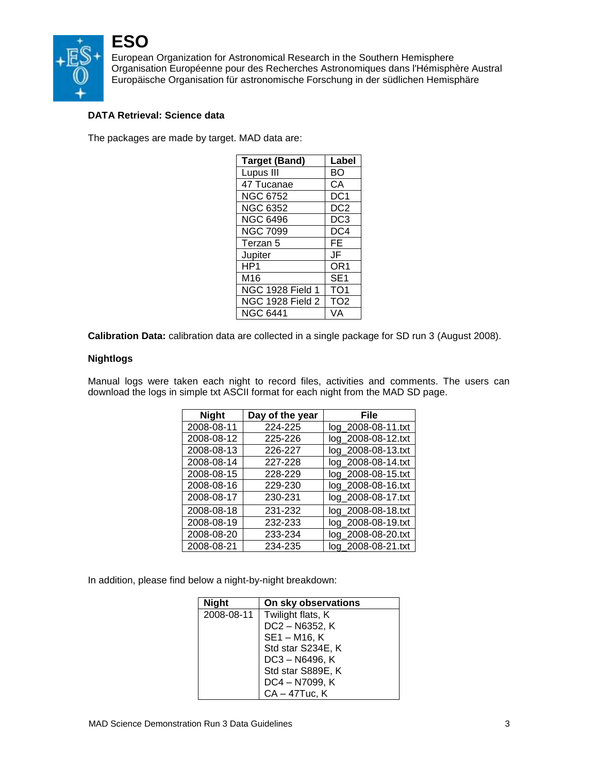

European Organization for Astronomical Research in the Southern Hemisphere Organisation Européenne pour des Recherches Astronomiques dans l'Hémisphère Austral Europäische Organisation für astronomische Forschung in der südlichen Hemisphäre

## **DATA Retrieval: Science data**

The packages are made by target. MAD data are:

| <b>Target (Band)</b>    | Label           |
|-------------------------|-----------------|
| Lupus III               | <b>BO</b>       |
| 47 Tucanae              | CА              |
| NGC 6752                | DC1             |
| <b>NGC 6352</b>         | DC <sub>2</sub> |
| <b>NGC 6496</b>         | DC3             |
| <b>NGC 7099</b>         | DC4             |
| Terzan 5                | FE              |
| Jupiter                 | JF              |
| HP1                     | OR1             |
| M16                     | SE <sub>1</sub> |
| <b>NGC 1928 Field 1</b> | TO <sub>1</sub> |
| <b>NGC 1928 Field 2</b> | TO <sub>2</sub> |
| <b>NGC 6441</b>         | VA              |

**Calibration Data:** calibration data are collected in a single package for SD run 3 (August 2008).

#### **Nightlogs**

Manual logs were taken each night to record files, activities and comments. The users can download the logs in simple txt ASCII format for each night from the MAD SD page.

| <b>Night</b> | Day of the year | File               |
|--------------|-----------------|--------------------|
| 2008-08-11   | 224-225         | log_2008-08-11.txt |
| 2008-08-12   | 225-226         | log_2008-08-12.txt |
| 2008-08-13   | 226-227         | log_2008-08-13.txt |
| 2008-08-14   | 227-228         | log_2008-08-14.txt |
| 2008-08-15   | 228-229         | log_2008-08-15.txt |
| 2008-08-16   | 229-230         | log_2008-08-16.txt |
| 2008-08-17   | 230-231         | log_2008-08-17.txt |
| 2008-08-18   | 231-232         | log_2008-08-18.txt |
| 2008-08-19   | 232-233         | log_2008-08-19.txt |
| 2008-08-20   | 233-234         | log_2008-08-20.txt |
| 2008-08-21   | 234-235         | log_2008-08-21.txt |

In addition, please find below a night-by-night breakdown:

| <b>Night</b> | On sky observations |
|--------------|---------------------|
| 2008-08-11   | Twilight flats, K   |
|              | DC2-N6352, K        |
|              | SE1-M16, K          |
|              | Std star S234E, K   |
|              | DC3-N6496, K        |
|              | Std star S889E, K   |
|              | DC4 - N7099, K      |
|              | CA - 47Tuc, K       |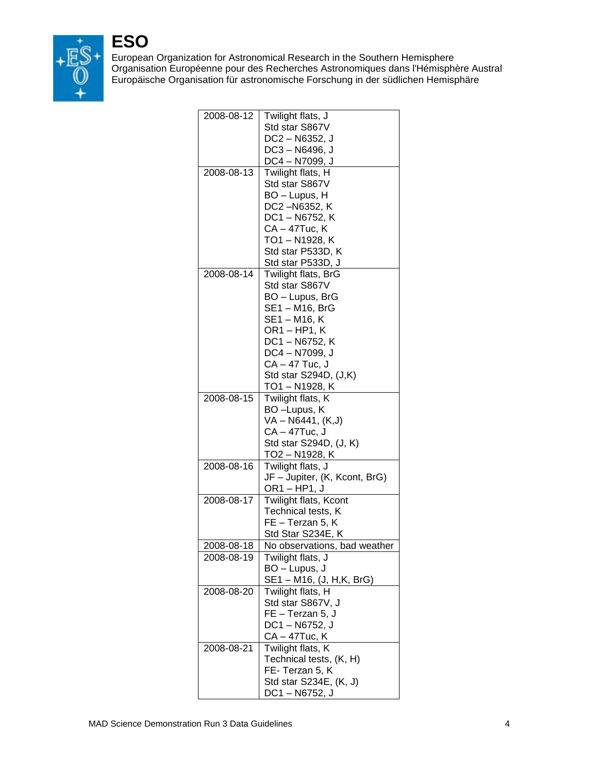

European Organization for Astronomical Research in the Southern Hemisphere Organisation Européenne pour des Recherches Astronomiques dans l'Hémisphère Austral Europäische Organisation für astronomische Forschung in der südlichen Hemisphäre

| 2008-08-12 | Twilight flats, J             |
|------------|-------------------------------|
|            | Std star S867V                |
|            | DC2-N6352, J                  |
|            | DC3-N6496, J                  |
|            | DC4 – N7099, J                |
| 2008-08-13 | Twilight flats, H             |
|            | Std star S867V                |
|            | BO - Lupus, H                 |
|            | DC2-N6352, K                  |
|            | DC1-N6752, K                  |
|            | CA – 47Tuc, K                 |
|            | TO1 – N1928, K                |
|            | Std star P533D, K             |
|            | Std star P533D, J             |
| 2008-08-14 | Twilight flats, BrG           |
|            | Std star S867V                |
|            | BO - Lupus, BrG               |
|            | SE1-M16, BrG                  |
|            | SE1 - M16, K                  |
|            | OR1-HP1, K                    |
|            | DC1-N6752, K                  |
|            | DC4-N7099, J                  |
|            | CA - 47 Tuc, J                |
|            | Std star S294D, (J,K)         |
|            | TO1 – N1928, K                |
| 2008-08-15 | Twilight flats, K             |
|            | BO-Lupus, K                   |
|            | VA - N6441, (K,J)             |
|            | CA – 47Tuc, J                 |
|            | Std star S294D, (J, K)        |
|            | TO2 – N1928, K                |
| 2008-08-16 | Twilight flats, J             |
|            | JF - Jupiter, (K, Kcont, BrG) |
|            | OR1-HP1, J                    |
| 2008-08-17 | Twilight flats, Kcont         |
|            | Technical tests, K            |
|            | FE - Terzan 5, K              |
|            | Std Star S234E, K             |
| 2008-08-18 | No observations, bad weather  |
| 2008-08-19 | Twilight flats, J             |
|            | BO - Lupus, J                 |
|            | SE1 – M16, (J, H,K, BrG)      |
| 2008-08-20 | Twilight flats, H             |
|            | Std star S867V, J             |
|            | FE - Terzan 5, J              |
|            | DC1-N6752, J                  |
|            | CA – 47Tuc, K                 |
| 2008-08-21 | Twilight flats, K             |
|            | Technical tests, (K, H)       |
|            | FE-Terzan 5, K                |
|            | Std star S234E, (K, J)        |
|            | DC1-N6752, J                  |